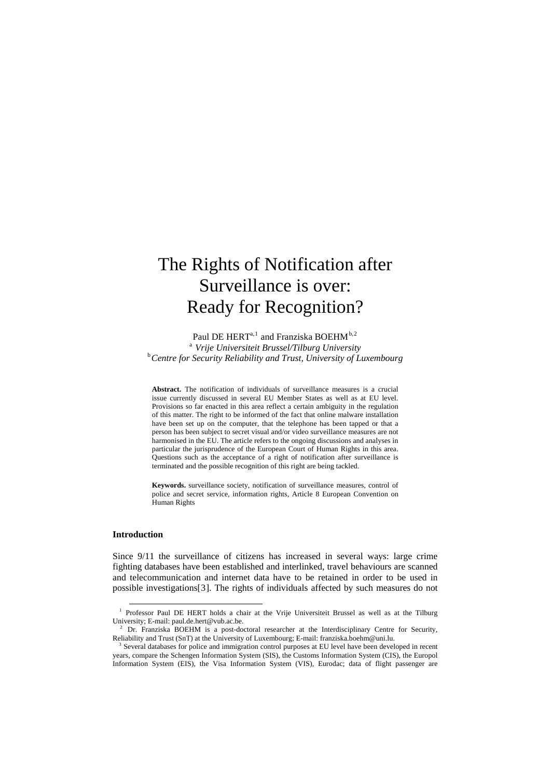# The Rights of Notification after Surveillance is over: Ready for Recognition?

Paul DE HERT<sup>a, [1](#page-0-0)</sup> and Franziska BOEHM<sup>b, [2](#page-0-1)</sup> <sup>a</sup> Vrije Universiteit Brussel/Tilburg University<br><sup>b</sup> Cantra for Sequrity Polighility and Trust, University of L *Centre for Security Reliability and Trust, University of Luxembourg* 

**Abstract.** The notification of individuals of surveillance measures is a crucial issue currently discussed in several EU Member States as well as at EU level. Provisions so far enacted in this area reflect a certain ambiguity in the regulation of this matter. The right to be informed of the fact that online malware installation have been set up on the computer, that the telephone has been tapped or that a person has been subject to secret visual and/or video surveillance measures are not harmonised in the EU. The article refers to the ongoing discussions and analyses in particular the jurisprudence of the European Court of Human Rights in this area. Questions such as the acceptance of a right of notification after surveillance is terminated and the possible recognition of this right are being tackled.

**Keywords.** surveillance society, notification of surveillance measures, control of police and secret service, information rights, Article 8 European Convention on Human Rights

## **Introduction**

Since 9/11 the surveillance of citizens has increased in several ways: large crime fighting databases have been established and interlinked, travel behaviours are scanned and telecommunication and internet data have to be retained in order to be used in possible investigations[[3](#page-0-2)]. The rights of individuals affected by such measures do not

<span id="page-0-0"></span><sup>&</sup>lt;sup>1</sup> Professor Paul DE HERT holds a chair at the Vrije Universiteit Brussel as well as at the Tilburg University; E-mail: paul.de.hert@vub.ac.be.<br><sup>2</sup> Dr. Franziska BOEHM is a post-doctoral researcher at the Interdisciplinary Centre for Security,

<span id="page-0-1"></span>Reliability and Trust (SnT) at the University of Luxembourg; E-mail: franziska.boehm@uni.lu. <sup>3</sup> Several databases for police and immigration control purposes at EU level have been developed in recent

<span id="page-0-2"></span>years, compare the Schengen Information System (SIS), the Customs Information System (CIS), the Europol Information System (EIS), the Visa Information System (VIS), Eurodac; data of flight passenger are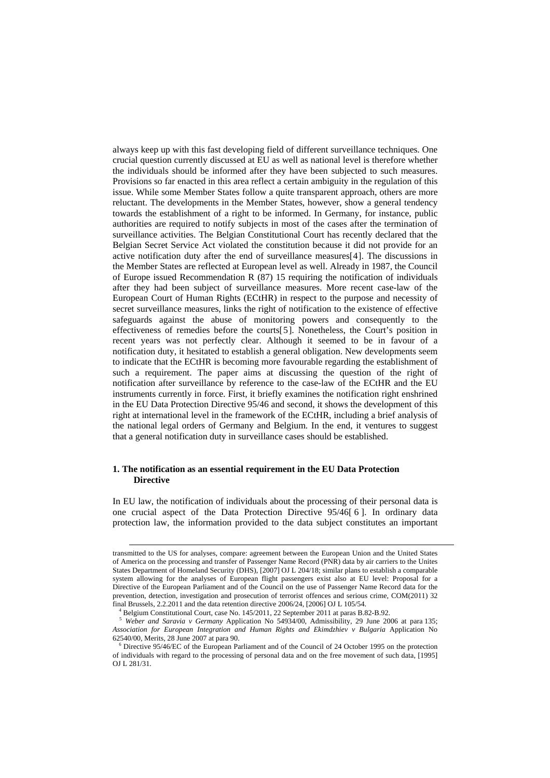always keep up with this fast developing field of different surveillance techniques. One crucial question currently discussed at EU as well as national level is therefore whether the individuals should be informed after they have been subjected to such measures. Provisions so far enacted in this area reflect a certain ambiguity in the regulation of this issue. While some Member States follow a quite transparent approach, others are more reluctant. The developments in the Member States, however, show a general tendency towards the establishment of a right to be informed. In Germany, for instance, public authorities are required to notify subjects in most of the cases after the termination of surveillance activities. The Belgian Constitutional Court has recently declared that the Belgian Secret Service Act violated the constitution because it did not provide for an active notification duty after the end of surveillance measures[[4](#page-1-0)]. The discussions in the Member States are reflected at European level as well. Already in 1987, the Council of Europe issued Recommendation R (87) 15 requiring the notification of individuals after they had been subject of surveillance measures. More recent case-law of the European Court of Human Rights (ECtHR) in respect to the purpose and necessity of secret surveillance measures, links the right of notification to the existence of effective safeguards against the abuse of monitoring powers and consequently to the effectiveness of remedies before the courts[[5](#page-1-1)]. Nonetheless, the Court's position in recent years was not perfectly clear. Although it seemed to be in favour of a notification duty, it hesitated to establish a general obligation. New developments seem to indicate that the ECtHR is becoming more favourable regarding the establishment of such a requirement. The paper aims at discussing the question of the right of notification after surveillance by reference to the case-law of the ECtHR and the EU instruments currently in force. First, it briefly examines the notification right enshrined in the EU Data Protection Directive 95/46 and second, it shows the development of this right at international level in the framework of the ECtHR, including a brief analysis of the national legal orders of Germany and Belgium. In the end, it ventures to suggest that a general notification duty in surveillance cases should be established.

# **1. The notification as an essential requirement in the EU Data Protection Directive**

In EU law, the notification of individuals about the processing of their personal data is one crucial aspect of the Data Protection Directive 95/46[ [6](#page-1-2) ]. In ordinary data protection law, the information provided to the data subject constitutes an important

transmitted to the US for analyses, compare: agreement between the European Union and the United States of America on the processing and transfer of Passenger Name Record (PNR) data by air carriers to the Unites States Department of Homeland Security (DHS), [2007] OJ L 204/18; similar plans to establish a comparable system allowing for the analyses of European flight passengers exist also at EU level: Proposal for a Directive of the European Parliament and of the Council on the use of Passenger Name Record data for the prevention, detection, investigation and prosecution of terrorist offences and serious crime, COM(2011) 32 final Brussels, 2.2.2011 and the data retention directive 2006/24, [2006] OJ L 105/54. 4

<span id="page-1-1"></span><span id="page-1-0"></span>Belgium Constitutional Court, case No. 145. 145. 145. September 2011 at para B.5. 5 *Weber and Saravia v Germany* Application No 54934/00, Admissibility, 29 June 2006 at para 135; *Association for European Integration and Human Rights and Ekimdzhiev v Bulgaria* Application No 62540/00, Merits, 28 June 2007 at para 90. 6

<span id="page-1-2"></span>Directive 95/46/EC of the European Parliament and of the Council of 24 October 1995 on the protection of individuals with regard to the processing of personal data and on the free movement of such data, [1995] OJ L 281/31.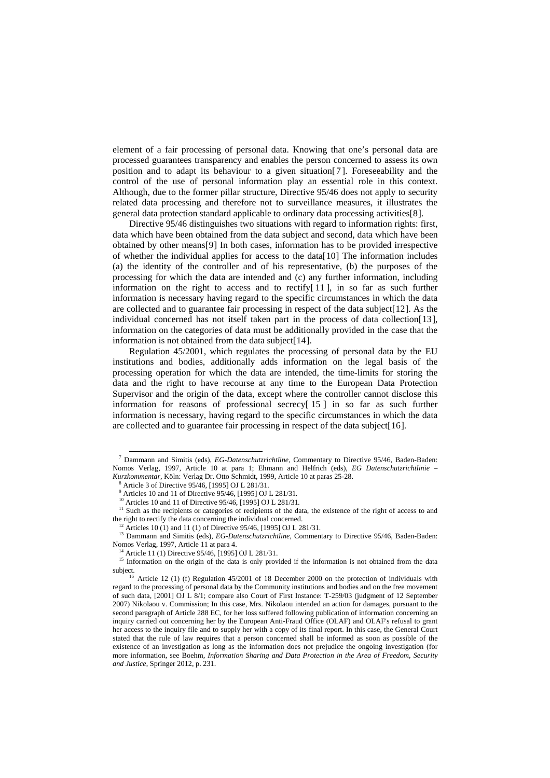element of a fair processing of personal data. Knowing that one's personal data are processed guarantees transparency and enables the person concerned to assess its own position and to adapt its behaviour to a given situation[[7](#page-2-0) ]. Foreseeability and the control of the use of personal information play an essential role in this context. Although, due to the former pillar structure, Directive 95/46 does not apply to security related data processing and therefore not to surveillance measures, it illustrates the general data protection standard applicable to ordinary data processing activities[[8](#page-2-1)].

Directive 95/46 distinguishes two situations with regard to information rights: first, data which have been obtained from the data subject and second, data which have been obtained by other means[[9](#page-2-2)] In both cases, information has to be provided irrespective of whether the individual applies for access to the data[[10](#page-2-3)] The information includes (a) the identity of the controller and of his representative, (b) the purposes of the processing for which the data are intended and (c) any further information, including information on the right to access and to rectify $[11]$  $[11]$  $[11]$ , in so far as such further information is necessary having regard to the specific circumstances in which the data are collected and to guarantee fair processing in respect of the data subject[[12](#page-2-5)]. As the individual concerned has not itself taken part in the process of data collection[[13](#page-2-6)], information on the categories of data must be additionally provided in the case that the information is not obtained from the data subject[[14](#page-2-7)].

Regulation 45/2001, which regulates the processing of personal data by the EU institutions and bodies, additionally adds information on the legal basis of the processing operation for which the data are intended, the time-limits for storing the data and the right to have recourse at any time to the European Data Protection Supervisor and the origin of the data, except where the controller cannot disclose this information for reasons of professional secrecy<sup>[[15](#page-2-8)]</sup> in so far as such further information is necessary, having regard to the specific circumstances in which the data are collected and to guarantee fair processing in respect of the data subject[[16](#page-2-9)].

<span id="page-2-0"></span> <sup>7</sup> Dammann and Simitis (eds), *EG-Datenschutzrichtline*, Commentary to Directive 95/46, Baden-Baden: Nomos Verlag, 1997, Article 10 at para 1; Ehmann and Helfrich (eds), *EG Datenschutzrichtlinie* – Kurzkommentar, Köln: Verlag Dr. Otto Schmidt, 1999, Article 10 at paras 25-28.

Article 3 of Directive 95/46, [1995] OJ L 281/31*.*

<sup>9</sup> Articles 10 and 11 of Directive 95/46, [1995] OJ L 281/31*.*

<sup>10</sup> Articles 10 and 11 of Directive 95/46, [1995] OJ L 281/31*.*

<span id="page-2-4"></span><span id="page-2-3"></span><span id="page-2-2"></span><span id="page-2-1"></span><sup>&</sup>lt;sup>11</sup> Such as the recipients or categories of recipients of the data, the existence of the right of access to and the right to rectify the data concerning the individual concerned. 12 Articles 10 (1) and 11 (1) of Directive 95/46, [1995] OJ L 281/31*.*

<span id="page-2-6"></span><span id="page-2-5"></span><sup>&</sup>lt;sup>13</sup> Dammann and Simitis (eds), *EG-Datenschutzrichtline*, Commentary to Directive 95/46, Baden-Baden: Nomos Verlag, 1997, Article 11 at para 4.<br><sup>14</sup> Article 11 (1) Directive 95/46, [1995] OJ L 281/31.<br><sup>15</sup> Information on the origin of the data is only provided if the information is not obtained from the data

<span id="page-2-8"></span><span id="page-2-7"></span>subject.<br><sup>16</sup> Article 12 (1) (f) Regulation 45/2001 of 18 December 2000 on the protection of individuals with

<span id="page-2-9"></span>regard to the processing of personal data by the Community institutions and bodies and on the free movement of such data, [2001] OJ L 8/1; compare also Court of First Instance: T-259/03 (judgment of 12 September 2007) Nikolaou v. Commission; In this case, Mrs. Nikolaou intended an action for damages, pursuant to the second paragraph of Article 288 EC, for her loss suffered following publication of information concerning an inquiry carried out concerning her by the European Anti-Fraud Office (OLAF) and OLAF's refusal to grant her access to the inquiry file and to supply her with a copy of its final report. In this case, the General Court stated that the rule of law requires that a person concerned shall be informed as soon as possible of the existence of an investigation as long as the information does not prejudice the ongoing investigation (for more information, see Boehm*, Information Sharing and Data Protection in the Area of Freedom, Security and Justice*, Springer 2012, p. 231.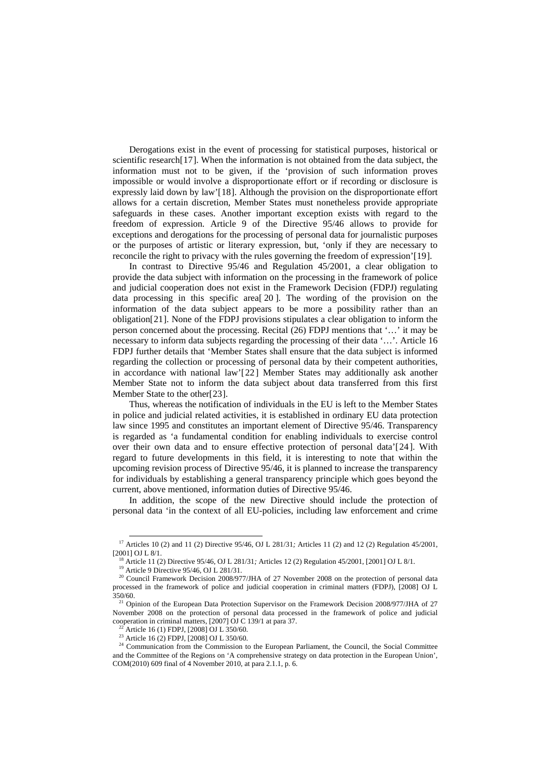Derogations exist in the event of processing for statistical purposes, historical or scientific research[[17](#page-3-0)]. When the information is not obtained from the data subject, the information must not to be given, if the 'provision of such information proves impossible or would involve a disproportionate effort or if recording or disclosure is expressly laid down by law'[[18](#page-3-1)]. Although the provision on the disproportionate effort allows for a certain discretion, Member States must nonetheless provide appropriate safeguards in these cases. Another important exception exists with regard to the freedom of expression. Article 9 of the Directive 95/46 allows to provide for exceptions and derogations for the processing of personal data for journalistic purposes or the purposes of artistic or literary expression, but, 'only if they are necessary to reconcile the right to privacy with the rules governing the freedom of expression'[[19](#page-3-2)].

In contrast to Directive 95/46 and Regulation 45/2001, a clear obligation to provide the data subject with information on the processing in the framework of police and judicial cooperation does not exist in the Framework Decision (FDPJ) regulating data processing in this specific area[ [20](#page-3-3) ]. The wording of the provision on the information of the data subject appears to be more a possibility rather than an obligation[[21](#page-3-4)]. None of the FDPJ provisions stipulates a clear obligation to inform the person concerned about the processing. Recital (26) FDPJ mentions that '…' it may be necessary to inform data subjects regarding the processing of their data '…'. Article 16 FDPJ further details that 'Member States shall ensure that the data subject is informed regarding the collection or processing of personal data by their competent authorities, in accordance with national law'[[22](#page-3-5)] Member States may additionally ask another Member State not to inform the data subject about data transferred from this first Member State to the other[[23](#page-3-6)].

Thus, whereas the notification of individuals in the EU is left to the Member States in police and judicial related activities, it is established in ordinary EU data protection law since 1995 and constitutes an important element of Directive 95/46. Transparency is regarded as 'a fundamental condition for enabling individuals to exercise control over their own data and to ensure effective protection of personal data'[[24](#page-3-7)]. With regard to future developments in this field, it is interesting to note that within the upcoming revision process of Directive 95/46, it is planned to increase the transparency for individuals by establishing a general transparency principle which goes beyond the current, above mentioned, information duties of Directive 95/46.

In addition, the scope of the new Directive should include the protection of personal data 'in the context of all EU-policies, including law enforcement and crime

<span id="page-3-1"></span><span id="page-3-0"></span><sup>&</sup>lt;sup>17</sup> Articles 10 (2) and 11 (2) Directive 95/46, OJ L 281/31; Articles 11 (2) and 12 (2) Regulation 45/2001, [2001] OJ L 8/1.

<sup>&</sup>lt;sup>18</sup> Article 11 (2) Directive 95/46, OJ L 281/31; Articles 12 (2) Regulation 45/2001, [2001] OJ L 8/1.<br><sup>19</sup> Article 9 Directive 95/46, OJ L 281/31.<br><sup>20</sup> Council Framework Decision 2008/977/JHA of 27 November 2008 on the p

<span id="page-3-3"></span><span id="page-3-2"></span>processed in the framework of police and judicial cooperation in criminal matters (FDPJ), [2008] OJ L

<span id="page-3-4"></span><sup>350/60.&</sup>lt;br><sup>21</sup> Opinion of the European Data Protection Supervisor on the Framework Decision 2008/977/JHA of 27 November 2008 on the protection of personal data processed in the framework of police and judicial cooperation in criminal matters, [2007] OJ C 139/1 at para 37. <sup>22</sup> Article 16 (1) FDPJ, [2008] OJ L 350/60.

<sup>&</sup>lt;sup>23</sup> Article 16 (2) FDPJ, [2008] OJ L 350/60.

<span id="page-3-7"></span><span id="page-3-6"></span><span id="page-3-5"></span><sup>&</sup>lt;sup>24</sup> Communication from the Commission to the European Parliament, the Council, the Social Committee and the Committee of the Regions on 'A comprehensive strategy on data protection in the European Union', COM(2010) 609 final of 4 November 2010, at para 2.1.1, p. 6.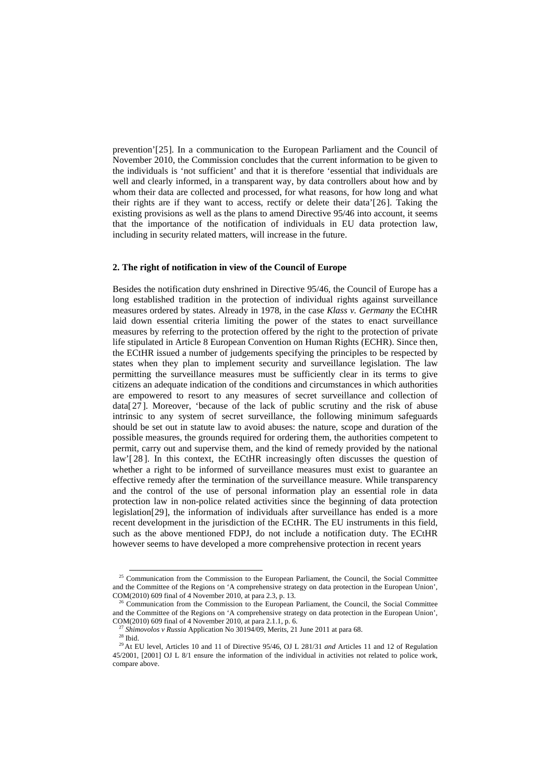prevention'[[25](#page-4-0)]. In a communication to the European Parliament and the Council of November 2010, the Commission concludes that the current information to be given to the individuals is 'not sufficient' and that it is therefore 'essential that individuals are well and clearly informed, in a transparent way, by data controllers about how and by whom their data are collected and processed, for what reasons, for how long and what their rights are if they want to access, rectify or delete their data'[[26](#page-4-1)]. Taking the existing provisions as well as the plans to amend Directive 95/46 into account, it seems that the importance of the notification of individuals in EU data protection law, including in security related matters, will increase in the future.

# **2. The right of notification in view of the Council of Europe**

Besides the notification duty enshrined in Directive 95/46, the Council of Europe has a long established tradition in the protection of individual rights against surveillance measures ordered by states. Already in 1978, in the case *Klass v. Germany* the ECtHR laid down essential criteria limiting the power of the states to enact surveillance measures by referring to the protection offered by the right to the protection of private life stipulated in Article 8 European Convention on Human Rights (ECHR). Since then, the ECtHR issued a number of judgements specifying the principles to be respected by states when they plan to implement security and surveillance legislation. The law permitting the surveillance measures must be sufficiently clear in its terms to give citizens an adequate indication of the conditions and circumstances in which authorities are empowered to resort to any measures of secret surveillance and collection of data[[27](#page-4-2)]. Moreover, 'because of the lack of public scrutiny and the risk of abuse intrinsic to any system of secret surveillance, the following minimum safeguards should be set out in statute law to avoid abuses: the nature, scope and duration of the possible measures, the grounds required for ordering them, the authorities competent to permit, carry out and supervise them, and the kind of remedy provided by the national law'[ [28](#page-4-3) ]. In this context, the ECtHR increasingly often discusses the question of whether a right to be informed of surveillance measures must exist to guarantee an effective remedy after the termination of the surveillance measure. While transparency and the control of the use of personal information play an essential role in data protection law in non-police related activities since the beginning of data protection legislation[[29](#page-4-4)], the information of individuals after surveillance has ended is a more recent development in the jurisdiction of the ECtHR. The EU instruments in this field, such as the above mentioned FDPJ, do not include a notification duty. The ECtHR however seems to have developed a more comprehensive protection in recent years

<span id="page-4-0"></span><sup>&</sup>lt;sup>25</sup> Communication from the Commission to the European Parliament, the Council, the Social Committee and the Committee of the Regions on 'A comprehensive strategy on data protection in the European Union', COM(2010) 609 final of 4 November 2010, at para 2.3, p. 13.<br><sup>26</sup> Communication from the Commission to the European Parliament, the Council, the Social Committee

<span id="page-4-1"></span>and the Committee of the Regions on 'A comprehensive strategy on data protection in the European Union', COM(2010) 609 final of 4 November 2010, at para 2.1.1, p. 6.

<span id="page-4-4"></span><span id="page-4-3"></span><span id="page-4-2"></span><sup>&</sup>lt;sup>27</sup> Shimovolos v Russia Application No 30194/09, Merits, 21 June 2011 at para 68.<br><sup>28</sup> Ibid.<br><sup>29</sup> At EU level. Articles 10 and 11 of Directive 95/46, OJ L 281/31 *and* Articles 11 and 12 of Regulation 45/2001, [2001] OJ L 8/1 ensure the information of the individual in activities not related to police work, compare above.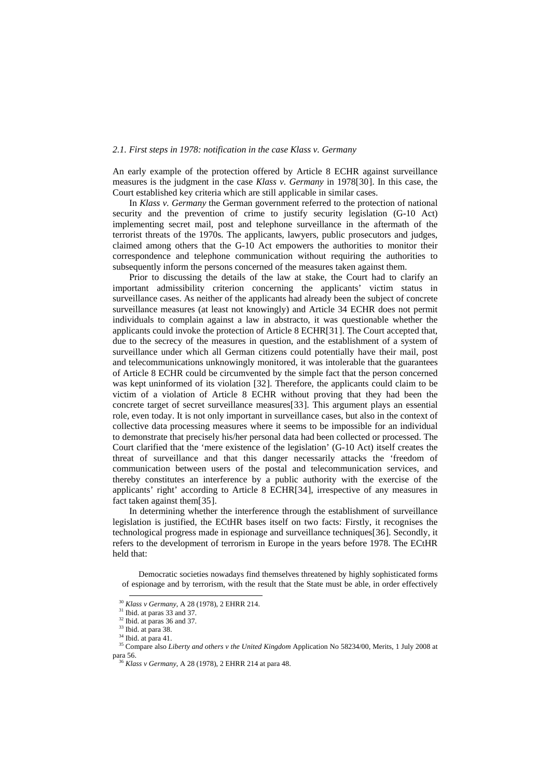## *2.1. First steps in 1978: notification in the case Klass v. Germany*

An early example of the protection offered by Article 8 ECHR against surveillance measures is the judgment in the case *Klass v. Germany* in 1978[[30](#page-5-0)]. In this case, the Court established key criteria which are still applicable in similar cases.

In *Klass v. Germany* the German government referred to the protection of national security and the prevention of crime to justify security legislation (G-10 Act) implementing secret mail, post and telephone surveillance in the aftermath of the terrorist threats of the 1970s. The applicants, lawyers, public prosecutors and judges, claimed among others that the G-10 Act empowers the authorities to monitor their correspondence and telephone communication without requiring the authorities to subsequently inform the persons concerned of the measures taken against them.

Prior to discussing the details of the law at stake, the Court had to clarify an important admissibility criterion concerning the applicants' victim status in surveillance cases. As neither of the applicants had already been the subject of concrete surveillance measures (at least not knowingly) and Article 34 ECHR does not permit individuals to complain against a law in abstracto, it was questionable whether the applicants could invoke the protection of Article 8 ECHR[[31](#page-5-1)]. The Court accepted that, due to the secrecy of the measures in question, and the establishment of a system of surveillance under which all German citizens could potentially have their mail, post and telecommunications unknowingly monitored, it was intolerable that the guarantees of Article 8 ECHR could be circumvented by the simple fact that the person concerned was kept uninformed of its violation [[32](#page-5-2)]. Therefore, the applicants could claim to be victim of a violation of Article 8 ECHR without proving that they had been the concrete target of secret surveillance measures[[33](#page-5-3)]. This argument plays an essential role, even today. It is not only important in surveillance cases, but also in the context of collective data processing measures where it seems to be impossible for an individual to demonstrate that precisely his/her personal data had been collected or processed. The Court clarified that the 'mere existence of the legislation' (G-10 Act) itself creates the threat of surveillance and that this danger necessarily attacks the 'freedom of communication between users of the postal and telecommunication services, and thereby constitutes an interference by a public authority with the exercise of the applicants' right' according to Article 8 ECHR[[34](#page-5-4)], irrespective of any measures in fact taken against them[[35](#page-5-5)].

In determining whether the interference through the establishment of surveillance legislation is justified, the ECtHR bases itself on two facts: Firstly, it recognises the technological progress made in espionage and surveillance techniques[[36](#page-5-6)]. Secondly, it refers to the development of terrorism in Europe in the years before 1978. The ECtHR held that:

Democratic societies nowadays find themselves threatened by highly sophisticated forms of espionage and by terrorism, with the result that the State must be able, in order effectively

<span id="page-5-6"></span><span id="page-5-5"></span>

<span id="page-5-4"></span><span id="page-5-3"></span><span id="page-5-2"></span><span id="page-5-1"></span><span id="page-5-0"></span><sup>&</sup>lt;sup>30</sup> Klass v Germany, A 28 (1978), 2 EHRR 214.<br><sup>31</sup> Ibid. at paras 33 and 37.<br><sup>32</sup> Ibid. at paras 36 and 37.<br><sup>33</sup> Ibid. at para 38.<br><sup>34</sup> Ibid. at para 41.<br><sup>35</sup> Compare also *Liberty and others v the United Kingdom* Applic para 56. 36 *Klass v Germany*, A 28 (1978), 2 EHRR 214 at para 48.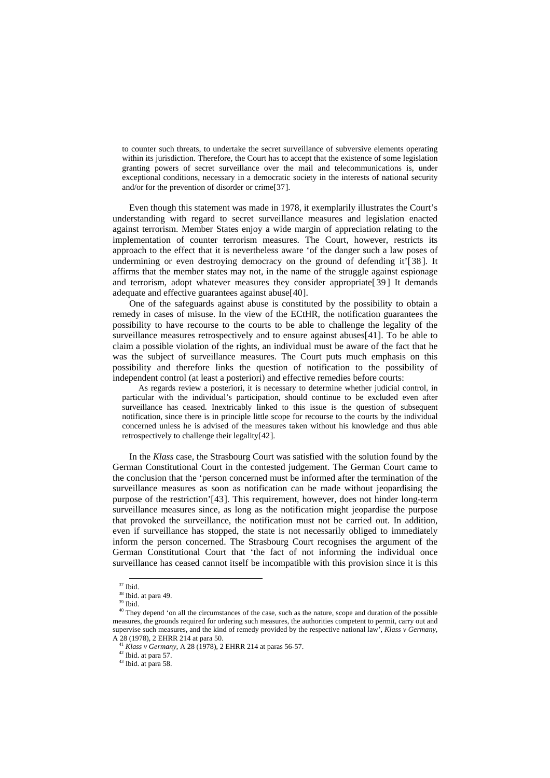to counter such threats, to undertake the secret surveillance of subversive elements operating within its jurisdiction. Therefore, the Court has to accept that the existence of some legislation granting powers of secret surveillance over the mail and telecommunications is, under exceptional conditions, necessary in a democratic society in the interests of national security and/or for the prevention of disorder or crime[[37](#page-6-0)].

Even though this statement was made in 1978, it exemplarily illustrates the Court's understanding with regard to secret surveillance measures and legislation enacted against terrorism. Member States enjoy a wide margin of appreciation relating to the implementation of counter terrorism measures. The Court, however, restricts its approach to the effect that it is nevertheless aware 'of the danger such a law poses of undermining or even destroying democracy on the ground of defending it'[[38](#page-6-1)]. It affirms that the member states may not, in the name of the struggle against espionage and terrorism, adopt whatever measures they consider appropriate[ [39](#page-6-2) ] It demands adequate and effective guarantees against abuse[[40](#page-6-3)].

One of the safeguards against abuse is constituted by the possibility to obtain a remedy in cases of misuse. In the view of the ECtHR, the notification guarantees the possibility to have recourse to the courts to be able to challenge the legality of the surveillance measures retrospectively and to ensure against abuses[[41](#page-6-4)]. To be able to claim a possible violation of the rights, an individual must be aware of the fact that he was the subject of surveillance measures. The Court puts much emphasis on this possibility and therefore links the question of notification to the possibility of independent control (at least a posteriori) and effective remedies before courts:

As regards review a posteriori, it is necessary to determine whether judicial control, in particular with the individual's participation, should continue to be excluded even after surveillance has ceased. Inextricably linked to this issue is the question of subsequent notification, since there is in principle little scope for recourse to the courts by the individual concerned unless he is advised of the measures taken without his knowledge and thus able retrospectively to challenge their legality[[42](#page-6-5)].

In the *Klass* case, the Strasbourg Court was satisfied with the solution found by the German Constitutional Court in the contested judgement. The German Court came to the conclusion that the 'person concerned must be informed after the termination of the surveillance measures as soon as notification can be made without jeopardising the purpose of the restriction'[[43](#page-6-6)]. This requirement, however, does not hinder long-term surveillance measures since, as long as the notification might jeopardise the purpose that provoked the surveillance, the notification must not be carried out. In addition, even if surveillance has stopped, the state is not necessarily obliged to immediately inform the person concerned. The Strasbourg Court recognises the argument of the German Constitutional Court that 'the fact of not informing the individual once surveillance has ceased cannot itself be incompatible with this provision since it is this

<sup>42</sup> Ibid. at para 57.

 <sup>37</sup> Ibid.

<sup>&</sup>lt;sup>38</sup> Ibid. at para 49.

 $^{\rm 39}$  Ibid.

<span id="page-6-3"></span><span id="page-6-2"></span><span id="page-6-1"></span><span id="page-6-0"></span><sup>&</sup>lt;sup>40</sup> They depend 'on all the circumstances of the case, such as the nature, scope and duration of the possible measures, the grounds required for ordering such measures, the authorities competent to permit, carry out and supervise such measures, and the kind of remedy provided by the respective national law', *Klass v Germany*, A 28 (1978), 2 EHRR 214 at para 50.

<span id="page-6-5"></span><span id="page-6-4"></span><sup>41</sup> *Klass v Germany*, A 28 (1978), 2 EHRR 214 at paras 56-57.

<span id="page-6-6"></span><sup>&</sup>lt;sup>43</sup> Ibid. at para 58.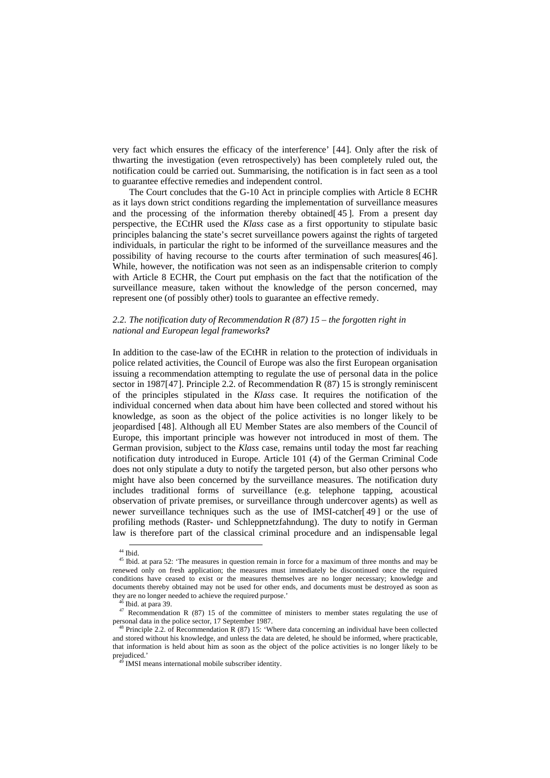very fact which ensures the efficacy of the interference' [[44](#page-7-0)]. Only after the risk of thwarting the investigation (even retrospectively) has been completely ruled out, the notification could be carried out. Summarising, the notification is in fact seen as a tool to guarantee effective remedies and independent control.

The Court concludes that the G-10 Act in principle complies with Article 8 ECHR as it lays down strict conditions regarding the implementation of surveillance measures and the processing of the information thereby obtained[ [45](#page-7-1) ]. From a present day perspective, the ECtHR used the *Klass* case as a first opportunity to stipulate basic principles balancing the state's secret surveillance powers against the rights of targeted individuals, in particular the right to be informed of the surveillance measures and the possibility of having recourse to the courts after termination of such measures[[46](#page-7-2)]. While, however, the notification was not seen as an indispensable criterion to comply with Article 8 ECHR, the Court put emphasis on the fact that the notification of the surveillance measure, taken without the knowledge of the person concerned, may represent one (of possibly other) tools to guarantee an effective remedy.

## *2.2. The notification duty of Recommendation R (87) 15 – the forgotten right in national and European legal frameworks?*

In addition to the case-law of the ECtHR in relation to the protection of individuals in police related activities, the Council of Europe was also the first European organisation issuing a recommendation attempting to regulate the use of personal data in the police sector in 1987[[47](#page-7-3)]. Principle 2.2. of Recommendation R (87) 15 is strongly reminiscent of the principles stipulated in the *Klass* case. It requires the notification of the individual concerned when data about him have been collected and stored without his knowledge, as soon as the object of the police activities is no longer likely to be jeopardised [[48](#page-7-4)]. Although all EU Member States are also members of the Council of Europe, this important principle was however not introduced in most of them. The German provision, subject to the *Klass* case, remains until today the most far reaching notification duty introduced in Europe. Article 101 (4) of the German Criminal Code does not only stipulate a duty to notify the targeted person, but also other persons who might have also been concerned by the surveillance measures. The notification duty includes traditional forms of surveillance (e.g. telephone tapping, acoustical observation of private premises, or surveillance through undercover agents) as well as newer surveillance techniques such as the use of IMSI-catcher[ [49](#page-7-5) ] or the use of profiling methods (Raster- und Schleppnetzfahndung). The duty to notify in German law is therefore part of the classical criminal procedure and an indispensable legal

<sup>&</sup>lt;sup>44</sup> Ibid.

<span id="page-7-1"></span><span id="page-7-0"></span><sup>&</sup>lt;sup>45</sup> Ibid. at para 52: 'The measures in question remain in force for a maximum of three months and may be renewed only on fresh application; the measures must immediately be discontinued once the required conditions have ceased to exist or the measures themselves are no longer necessary; knowledge and documents thereby obtained may not be used for other ends, and documents must be destroyed as soon as

<span id="page-7-3"></span><span id="page-7-2"></span>they are no longer needed to achieve the required purpose.'  $46$  Ibid. at para 39.  $47$  Recommendation R (87) 15 of the committee of ministers to member states regulating the use of personal data in the police sector, 17 September 1987. 48 Principle 2.2. of Recommendation R (87) 15: 'Where data concerning an individual have been collected

<span id="page-7-5"></span><span id="page-7-4"></span>and stored without his knowledge, and unless the data are deleted, he should be informed, where practicable, that information is held about him as soon as the object of the police activities is no longer likely to be

 $\overline{\text{M}}$  IMSI means international mobile subscriber identity.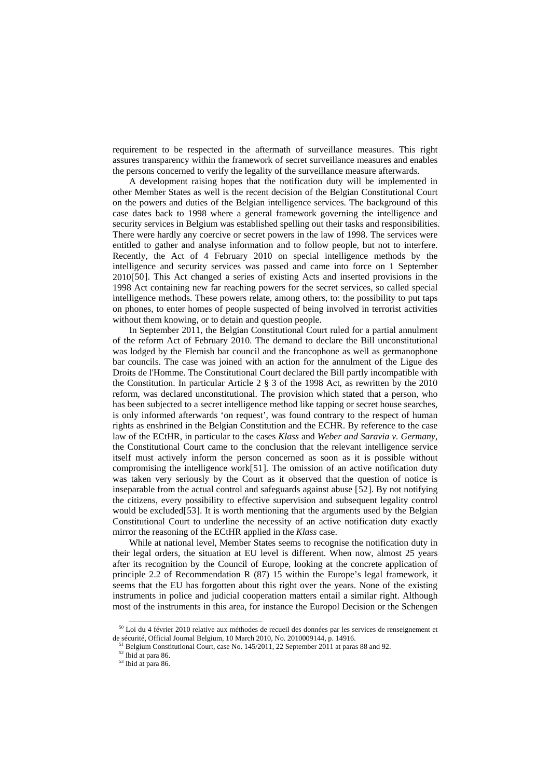requirement to be respected in the aftermath of surveillance measures. This right assures transparency within the framework of secret surveillance measures and enables the persons concerned to verify the legality of the surveillance measure afterwards.

A development raising hopes that the notification duty will be implemented in other Member States as well is the recent decision of the Belgian Constitutional Court on the powers and duties of the Belgian intelligence services. The background of this case dates back to 1998 where a general framework governing the intelligence and security services in Belgium was established spelling out their tasks and responsibilities. There were hardly any coercive or secret powers in the law of 1998. The services were entitled to gather and analyse information and to follow people, but not to interfere. Recently, the Act of 4 February 2010 on special intelligence methods by the intelligence and security services was passed and came into force on 1 September 2010[[50](#page-8-0)]. This Act changed a series of existing Acts and inserted provisions in the 1998 Act containing new far reaching powers for the secret services, so called special intelligence methods. These powers relate, among others, to: the possibility to put taps on phones, to enter homes of people suspected of being involved in terrorist activities without them knowing, or to detain and question people.

In September 2011, the Belgian Constitutional Court ruled for a partial annulment of the reform Act of February 2010. The demand to declare the Bill unconstitutional was lodged by the Flemish bar council and the francophone as well as germanophone bar councils. The case was joined with an action for the annulment of the Ligue des Droits de l'Homme. The Constitutional Court declared the Bill partly incompatible with the Constitution. In particular Article 2 § 3 of the 1998 Act, as rewritten by the 2010 reform, was declared unconstitutional. The provision which stated that a person, who has been subjected to a secret intelligence method like tapping or secret house searches, is only informed afterwards 'on request', was found contrary to the respect of human rights as enshrined in the Belgian Constitution and the ECHR. By reference to the case law of the ECtHR, in particular to the cases *Klass* and *Weber and Saravia v. Germany*, the Constitutional Court came to the conclusion that the relevant intelligence service itself must actively inform the person concerned as soon as it is possible without compromising the intelligence work[[51](#page-8-1)]. The omission of an active notification duty was taken very seriously by the Court as it observed that the question of notice is inseparable from the actual control and safeguards against abuse [[52](#page-8-2)]. By not notifying the citizens, every possibility to effective supervision and subsequent legality control would be excluded [[53](#page-8-3)]. It is worth mentioning that the arguments used by the Belgian Constitutional Court to underline the necessity of an active notification duty exactly mirror the reasoning of the ECtHR applied in the *Klass* case.

While at national level, Member States seems to recognise the notification duty in their legal orders, the situation at EU level is different. When now, almost 25 years after its recognition by the Council of Europe, looking at the concrete application of principle 2.2 of Recommendation R (87) 15 within the Europe's legal framework, it seems that the EU has forgotten about this right over the years. None of the existing instruments in police and judicial cooperation matters entail a similar right. Although most of the instruments in this area, for instance the Europol Decision or the Schengen

<span id="page-8-3"></span><span id="page-8-2"></span><span id="page-8-1"></span><span id="page-8-0"></span> <sup>50</sup> Loi du 4 février 2010 relative aux méthodes de recueil des données par les services de renseignement et de sécurité, Official Journal Belgium, 10 March 2010, No. 2010009144, p. 14916.<br><sup>51</sup> Belgium Constitutional Court, case No. 145/2011, 22 September 2011 at paras 88 and 92.<br><sup>52</sup> Ibid at para 86.

<sup>53</sup> Ibid at para 86.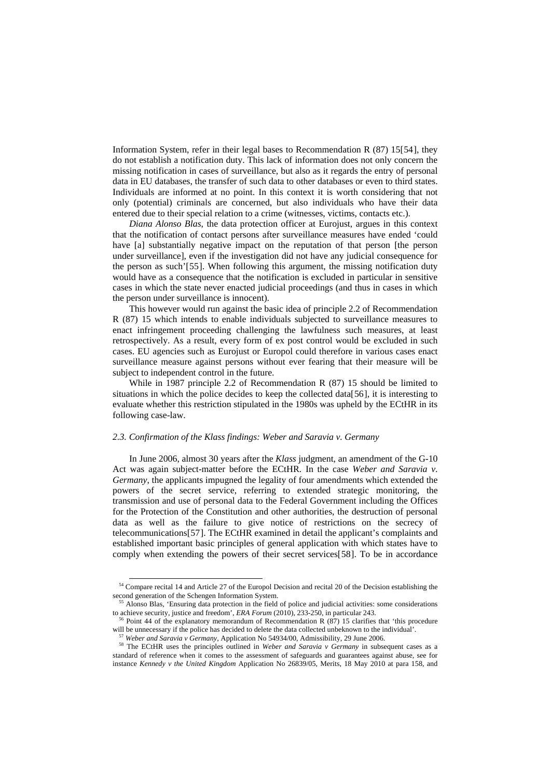Information System, refer in their legal bases to Recommendation R (87) 15[[54](#page-9-0)], they do not establish a notification duty. This lack of information does not only concern the missing notification in cases of surveillance, but also as it regards the entry of personal data in EU databases, the transfer of such data to other databases or even to third states. Individuals are informed at no point. In this context it is worth considering that not only (potential) criminals are concerned, but also individuals who have their data entered due to their special relation to a crime (witnesses, victims, contacts etc.).

*Diana Alonso Blas*, the data protection officer at Eurojust, argues in this context that the notification of contact persons after surveillance measures have ended 'could have [a] substantially negative impact on the reputation of that person [the person under surveillance], even if the investigation did not have any judicial consequence for the person as such'[[55](#page-9-1)]. When following this argument, the missing notification duty would have as a consequence that the notification is excluded in particular in sensitive cases in which the state never enacted judicial proceedings (and thus in cases in which the person under surveillance is innocent).

This however would run against the basic idea of principle 2.2 of Recommendation R (87) 15 which intends to enable individuals subjected to surveillance measures to enact infringement proceeding challenging the lawfulness such measures, at least retrospectively. As a result, every form of ex post control would be excluded in such cases. EU agencies such as Eurojust or Europol could therefore in various cases enact surveillance measure against persons without ever fearing that their measure will be subject to independent control in the future.

While in 1987 principle 2.2 of Recommendation R (87) 15 should be limited to situations in which the police decides to keep the collected data[[56](#page-9-2)], it is interesting to evaluate whether this restriction stipulated in the 1980s was upheld by the ECtHR in its following case-law.

## *2.3. Confirmation of the Klass findings: Weber and Saravia v. Germany*

In June 2006, almost 30 years after the *Klass* judgment, an amendment of the G-10 Act was again subject-matter before the ECtHR. In the case *Weber and Saravia v*. *Germany*, the applicants impugned the legality of four amendments which extended the powers of the secret service, referring to extended strategic monitoring, the transmission and use of personal data to the Federal Government including the Offices for the Protection of the Constitution and other authorities, the destruction of personal data as well as the failure to give notice of restrictions on the secrecy of telecommunications[[57](#page-9-3)]. The ECtHR examined in detail the applicant's complaints and established important basic principles of general application with which states have to comply when extending the powers of their secret services[[58](#page-9-4)]. To be in accordance

<span id="page-9-0"></span><sup>&</sup>lt;sup>54</sup> Compare recital 14 and Article 27 of the Europol Decision and recital 20 of the Decision establishing the second generation of the Schengen Information System.<br><sup>55</sup> Alonso Blas, 'Ensuring data protection in the field of police and judicial activities: some considerations

<span id="page-9-1"></span>to achieve security, justice and freedom', *ERA Forum* (2010), 233-250, in particular 243.<br><sup>56</sup> Point 44 of the explanatory memorandum of Recommendation R (87) 15 clarifies that 'this procedure

<span id="page-9-2"></span>will be unnecessary if the police has decided to delete the data collected unbeknown to the individual'.<br><sup>57</sup> Weber and Saravia v Germany, Application No 54934/00, Admissibility, 29 June 2006.<br><sup>58</sup> The ECtHR uses the prin

<span id="page-9-4"></span><span id="page-9-3"></span>standard of reference when it comes to the assessment of safeguards and guarantees against abuse, see for instance *Kennedy v the United Kingdom* Application No 26839/05, Merits, 18 May 2010 at para 158, and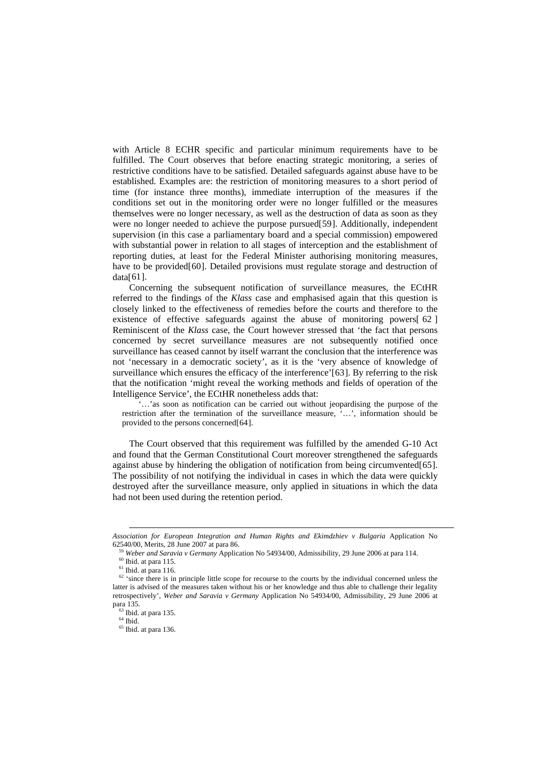with Article 8 ECHR specific and particular minimum requirements have to be fulfilled. The Court observes that before enacting strategic monitoring, a series of restrictive conditions have to be satisfied. Detailed safeguards against abuse have to be established. Examples are: the restriction of monitoring measures to a short period of time (for instance three months), immediate interruption of the measures if the conditions set out in the monitoring order were no longer fulfilled or the measures themselves were no longer necessary, as well as the destruction of data as soon as they were no longer needed to achieve the purpose pursued[[59](#page-10-0)]. Additionally, independent supervision (in this case a parliamentary board and a special commission) empowered with substantial power in relation to all stages of interception and the establishment of reporting duties, at least for the Federal Minister authorising monitoring measures, have to be provided [[60](#page-10-1)]. Detailed provisions must regulate storage and destruction of data[[61](#page-10-2)].

Concerning the subsequent notification of surveillance measures, the ECtHR referred to the findings of the *Klass* case and emphasised again that this question is closely linked to the effectiveness of remedies before the courts and therefore to the existence of effective safeguards against the abuse of monitoring powers[ [62](#page-10-3) ] Reminiscent of the *Klass* case, the Court however stressed that 'the fact that persons concerned by secret surveillance measures are not subsequently notified once surveillance has ceased cannot by itself warrant the conclusion that the interference was not 'necessary in a democratic society', as it is the 'very absence of knowledge of surveillance which ensures the efficacy of the interference'[[63](#page-10-4)]. By referring to the risk that the notification 'might reveal the working methods and fields of operation of the Intelligence Service', the ECtHR nonetheless adds that:

'…'as soon as notification can be carried out without jeopardising the purpose of the restriction after the termination of the surveillance measure, '…', information should be provided to the persons concerned[[64](#page-10-5)].

The Court observed that this requirement was fulfilled by the amended G-10 Act and found that the German Constitutional Court moreover strengthened the safeguards against abuse by hindering the obligation of notification from being circumvented[[65](#page-10-6)]. The possibility of not notifying the individual in cases in which the data were quickly destroyed after the surveillance measure, only applied in situations in which the data had not been used during the retention period.

1

<span id="page-10-0"></span>*Association for European Integration and Human Rights and Ekimdzhiev v Bulgaria* Application No 62540/00, Merits, 28 June 2007 at para 86.<br><sup>59</sup> Weber and Saravia v Germany Application No 54934/00, Admissibility, 29 June 2006 at para 114.<br><sup>60</sup> Ibid. at para 115.<br><sup>61</sup> Ibid. at para 116.<br><sup>62</sup> 'since there is in princip

<span id="page-10-4"></span><span id="page-10-3"></span><span id="page-10-2"></span><span id="page-10-1"></span>latter is advised of the measures taken without his or her knowledge and thus able to challenge their legality retrospectively', *Weber and Saravia v Germany* Application No 54934/00, Admissibility, 29 June 2006 at para 135. 63 Ibid. at para 135. 64 Ibid.

<span id="page-10-5"></span>

<span id="page-10-6"></span><sup>&</sup>lt;sup>65</sup> Ibid. at para 136.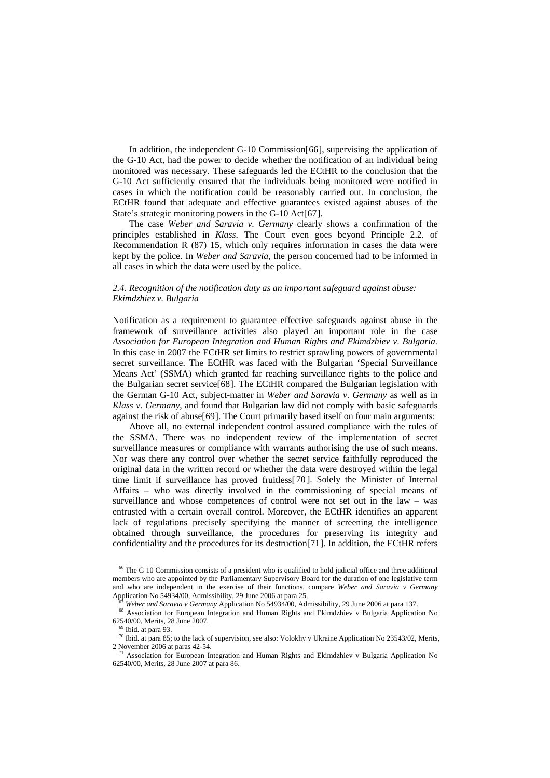In addition, the independent G-10 Commission [[66](#page-11-0)], supervising the application of the G-10 Act, had the power to decide whether the notification of an individual being monitored was necessary. These safeguards led the ECtHR to the conclusion that the G-10 Act sufficiently ensured that the individuals being monitored were notified in cases in which the notification could be reasonably carried out. In conclusion, the ECtHR found that adequate and effective guarantees existed against abuses of the State's strategic monitoring powers in the G-10 Act[[67](#page-11-1)].

The case *Weber and Saravia v*. *Germany* clearly shows a confirmation of the principles established in *Klass*. The Court even goes beyond Principle 2.2. of Recommendation R (87) 15, which only requires information in cases the data were kept by the police. In *Weber and Saravia*, the person concerned had to be informed in all cases in which the data were used by the police.

# *2.4. Recognition of the notification duty as an important safeguard against abuse: Ekimdzhiez v. Bulgaria*

Notification as a requirement to guarantee effective safeguards against abuse in the framework of surveillance activities also played an important role in the case *Association for European Integration and Human Rights and Ekimdzhiev v*. *Bulgaria.*  In this case in 2007 the ECtHR set limits to restrict sprawling powers of governmental secret surveillance. The ECtHR was faced with the Bulgarian 'Special Surveillance Means Act' (SSMA) which granted far reaching surveillance rights to the police and the Bulgarian secret service[[68](#page-11-2)]. The ECtHR compared the Bulgarian legislation with the German G-10 Act, subject-matter in *Weber and Saravia v*. *Germany* as well as in *Klass v*. *Germany*, and found that Bulgarian law did not comply with basic safeguards against the risk of abuse $[69]$  $[69]$  $[69]$ . The Court primarily based itself on four main arguments:

Above all, no external independent control assured compliance with the rules of the SSMA. There was no independent review of the implementation of secret surveillance measures or compliance with warrants authorising the use of such means. Nor was there any control over whether the secret service faithfully reproduced the original data in the written record or whether the data were destroyed within the legal time limit if surveillance has proved fruitless[ [70](#page-11-4) ]. Solely the Minister of Internal Affairs – who was directly involved in the commissioning of special means of surveillance and whose competences of control were not set out in the law – was entrusted with a certain overall control. Moreover, the ECtHR identifies an apparent lack of regulations precisely specifying the manner of screening the intelligence obtained through surveillance, the procedures for preserving its integrity and confidentiality and the procedures for its destruction[[71](#page-11-5)]. In addition, the ECtHR refers

<span id="page-11-0"></span> <sup>66</sup> The G 10 Commission consists of a president who is qualified to hold judicial office and three additional members who are appointed by the Parliamentary Supervisory Board for the duration of one legislative term and who are independent in the exercise of their functions, compare *Weber and Saravia v Germany*

<span id="page-11-2"></span><span id="page-11-1"></span>Application No 54934/00, Admissibility, 29 June 2006 at para 25.<br>
<sup>67</sup> Weber and Saravia v Germany Application No 54934/00, Admissibility, 29 June 2006 at para 137.<br>
<sup>68</sup> Association for European Integration and Human Rig

<span id="page-11-3"></span><sup>&</sup>lt;sup>69</sup> Ibid. at para 93.<br><sup>70</sup> Ibid. at para 85; to the lack of supervision, see also: Volokhy v Ukraine Application No 23543/02, Merits,

<span id="page-11-5"></span><span id="page-11-4"></span><sup>2</sup> November 2006 at paras 42-54. 71 Association for European Integration and Human Rights and Ekimdzhiev v Bulgaria Application No 62540/00, Merits, 28 June 2007 at para 86.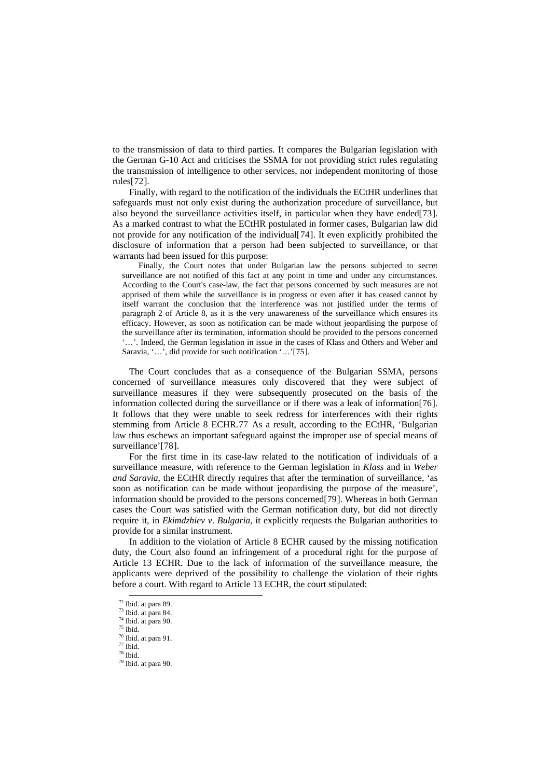to the transmission of data to third parties. It compares the Bulgarian legislation with the German G-10 Act and criticises the SSMA for not providing strict rules regulating the transmission of intelligence to other services, nor independent monitoring of those rules[[72](#page-12-0)].

Finally, with regard to the notification of the individuals the ECtHR underlines that safeguards must not only exist during the authorization procedure of surveillance, but also beyond the surveillance activities itself, in particular when they have ended[[73](#page-12-1)]. As a marked contrast to what the ECtHR postulated in former cases, Bulgarian law did not provide for any notification of the individual[[74](#page-12-2)]. It even explicitly prohibited the disclosure of information that a person had been subjected to surveillance, or that warrants had been issued for this purpose:

Finally, the Court notes that under Bulgarian law the persons subjected to secret surveillance are not notified of this fact at any point in time and under any circumstances. According to the Court's case-law, the fact that persons concerned by such measures are not apprised of them while the surveillance is in progress or even after it has ceased cannot by itself warrant the conclusion that the interference was not justified under the terms of paragraph 2 of Article 8, as it is the very unawareness of the surveillance which ensures its efficacy. However, as soon as notification can be made without jeopardising the purpose of the surveillance after its termination, information should be provided to the persons concerned '…'. Indeed, the German legislation in issue in the cases of Klass and Others and Weber and Saravia, '…', did provide for such notification '…'[[75](#page-12-3)].

The Court concludes that as a consequence of the Bulgarian SSMA, persons concerned of surveillance measures only discovered that they were subject of surveillance measures if they were subsequently prosecuted on the basis of the information collected during the surveillance or if there was a leak of information[[76](#page-12-4)]. It follows that they were unable to seek redress for interferences with their rights stemming from Article 8 ECHR.[77](#page-12-5) As a result, according to the ECtHR, 'Bulgarian law thus eschews an important safeguard against the improper use of special means of surveillance'[[78](#page-12-6)].

For the first time in its case-law related to the notification of individuals of a surveillance measure, with reference to the German legislation in *Klass* and in *Weber and Saravia*, the ECtHR directly requires that after the termination of surveillance, 'as soon as notification can be made without jeopardising the purpose of the measure', information should be provided to the persons concerned[[79](#page-12-7)]. Whereas in both German cases the Court was satisfied with the German notification duty, but did not directly require it, in *Ekimdzhiev v*. *Bulgaria*, it explicitly requests the Bulgarian authorities to provide for a similar instrument.

In addition to the violation of Article 8 ECHR caused by the missing notification duty, the Court also found an infringement of a procedural right for the purpose of Article 13 ECHR. Due to the lack of information of the surveillance measure, the applicants were deprived of the possibility to challenge the violation of their rights before a court. With regard to Article 13 ECHR, the court stipulated:

<span id="page-12-1"></span>

<span id="page-12-0"></span> $\frac{72}{73}$  Ibid. at para 89.<br> $\frac{73}{74}$  Ibid. at para 90.<br> $\frac{74}{75}$  Ibid.

<span id="page-12-2"></span>

<span id="page-12-3"></span> $\frac{76}{77}$  Ibid. at para 91.

<span id="page-12-7"></span><span id="page-12-6"></span><span id="page-12-5"></span><span id="page-12-4"></span><sup>78</sup> Ibid.

 $79$  Ibid. at para 90.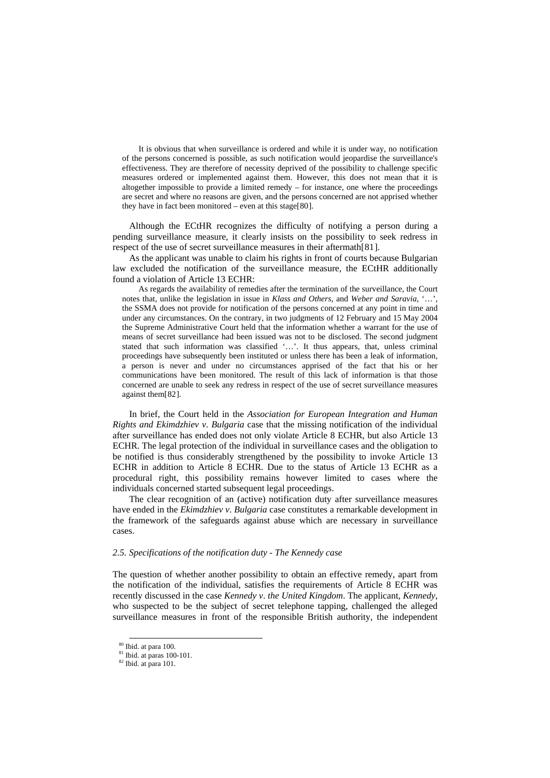It is obvious that when surveillance is ordered and while it is under way, no notification of the persons concerned is possible, as such notification would jeopardise the surveillance's effectiveness. They are therefore of necessity deprived of the possibility to challenge specific measures ordered or implemented against them. However, this does not mean that it is altogether impossible to provide a limited remedy – for instance, one where the proceedings are secret and where no reasons are given, and the persons concerned are not apprised whether they have in fact been monitored – even at this stage[[80](#page-13-0)].

Although the ECtHR recognizes the difficulty of notifying a person during a pending surveillance measure, it clearly insists on the possibility to seek redress in respect of the use of secret surveillance measures in their aftermath[[81](#page-13-1)].

As the applicant was unable to claim his rights in front of courts because Bulgarian law excluded the notification of the surveillance measure, the ECtHR additionally found a violation of Article 13 ECHR:

As regards the availability of remedies after the termination of the surveillance, the Court notes that, unlike the legislation in issue in *Klass and Others*, and *Weber and Saravia*, '…', the SSMA does not provide for notification of the persons concerned at any point in time and under any circumstances. On the contrary, in two judgments of 12 February and 15 May 2004 the Supreme Administrative Court held that the information whether a warrant for the use of means of secret surveillance had been issued was not to be disclosed. The second judgment stated that such information was classified '…'. It thus appears, that, unless criminal proceedings have subsequently been instituted or unless there has been a leak of information, a person is never and under no circumstances apprised of the fact that his or her communications have been monitored. The result of this lack of information is that those concerned are unable to seek any redress in respect of the use of secret surveillance measures against them[[82](#page-13-2)].

In brief, the Court held in the *Association for European Integration and Human Rights and Ekimdzhiev v*. *Bulgaria* case that the missing notification of the individual after surveillance has ended does not only violate Article 8 ECHR, but also Article 13 ECHR. The legal protection of the individual in surveillance cases and the obligation to be notified is thus considerably strengthened by the possibility to invoke Article 13 ECHR in addition to Article 8 ECHR. Due to the status of Article 13 ECHR as a procedural right, this possibility remains however limited to cases where the individuals concerned started subsequent legal proceedings.

The clear recognition of an (active) notification duty after surveillance measures have ended in the *Ekimdzhiev v*. *Bulgaria* case constitutes a remarkable development in the framework of the safeguards against abuse which are necessary in surveillance cases.

# *2.5. Specifications of the notification duty - The Kennedy case*

The question of whether another possibility to obtain an effective remedy, apart from the notification of the individual, satisfies the requirements of Article 8 ECHR was recently discussed in the case *Kennedy v*. *the United Kingdom*. The applicant, *Kennedy*, who suspected to be the subject of secret telephone tapping, challenged the alleged surveillance measures in front of the responsible British authority, the independent

<span id="page-13-1"></span><span id="page-13-0"></span> $\frac{80}{10}$  Ibid. at para 100.<br>  $\frac{81}{82}$  Ibid. at para 100-101.<br>  $\frac{82}{100}$  Ibid. at para 101.

<span id="page-13-2"></span>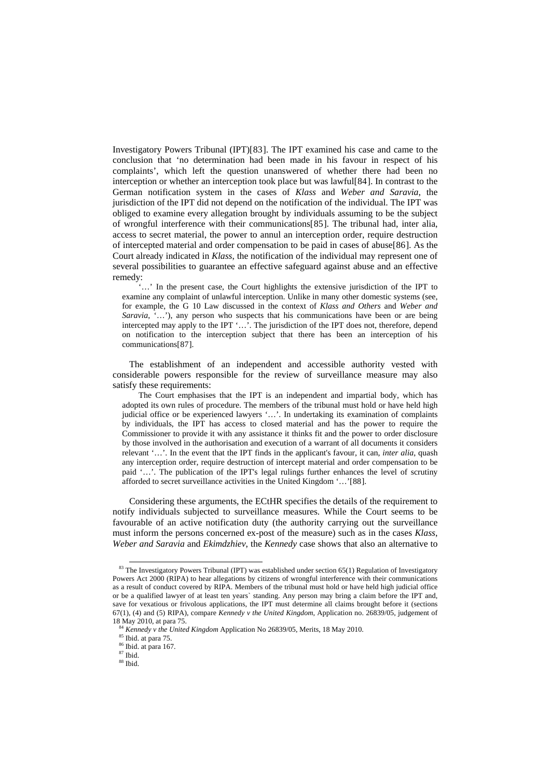Investigatory Powers Tribunal (IPT)[[83](#page-14-0)]. The IPT examined his case and came to the conclusion that 'no determination had been made in his favour in respect of his complaints', which left the question unanswered of whether there had been no interception or whether an interception took place but was lawful[[84](#page-14-1)]. In contrast to the German notification system in the cases of *Klass* and *Weber and Saravia*, the jurisdiction of the IPT did not depend on the notification of the individual. The IPT was obliged to examine every allegation brought by individuals assuming to be the subject of wrongful interference with their communications[[85](#page-14-2)]. The tribunal had, inter alia, access to secret material, the power to annul an interception order, require destruction of intercepted material and order compensation to be paid in cases of abuse[[86](#page-14-3)]. As the Court already indicated in *Klass*, the notification of the individual may represent one of several possibilities to guarantee an effective safeguard against abuse and an effective remedy:

'…' In the present case, the Court highlights the extensive jurisdiction of the IPT to examine any complaint of unlawful interception. Unlike in many other domestic systems (see, for example, the G 10 Law discussed in the context of *Klass and Others* and *Weber and Saravia*, '…'), any person who suspects that his communications have been or are being intercepted may apply to the IPT '…'. The jurisdiction of the IPT does not, therefore, depend on notification to the interception subject that there has been an interception of his communications[[87](#page-14-4)].

The establishment of an independent and accessible authority vested with considerable powers responsible for the review of surveillance measure may also satisfy these requirements:

The Court emphasises that the IPT is an independent and impartial body, which has adopted its own rules of procedure. The members of the tribunal must hold or have held high judicial office or be experienced lawyers '…'. In undertaking its examination of complaints by individuals, the IPT has access to closed material and has the power to require the Commissioner to provide it with any assistance it thinks fit and the power to order disclosure by those involved in the authorisation and execution of a warrant of all documents it considers relevant '…'. In the event that the IPT finds in the applicant's favour, it can, *inter alia*, quash any interception order, require destruction of intercept material and order compensation to be paid '…'. The publication of the IPT's legal rulings further enhances the level of scrutiny afforded to secret surveillance activities in the United Kingdom '…'[[88](#page-14-5)].

Considering these arguments, the ECtHR specifies the details of the requirement to notify individuals subjected to surveillance measures. While the Court seems to be favourable of an active notification duty (the authority carrying out the surveillance must inform the persons concerned ex-post of the measure) such as in the cases *Klass*, *Weber and Saravia* and *Ekimdzhiev*, the *Kennedy* case shows that also an alternative to

<span id="page-14-0"></span><sup>83</sup> The Investigatory Powers Tribunal (IPT) was established under section 65(1) Regulation of Investigatory Powers Act 2000 (RIPA) to hear allegations by citizens of wrongful interference with their communications as a result of conduct covered by RIPA. Members of the tribunal must hold or have held high judicial office or be a qualified lawyer of at least ten years` standing. Any person may bring a claim before the IPT and, save for vexatious or frivolous applications, the IPT must determine all claims brought before it (sections 67(1), (4) and (5) RIPA), compare *Kennedy v the United Kingdom*, Application no. 26839/05, judgement of

<span id="page-14-4"></span><span id="page-14-3"></span><span id="page-14-2"></span><span id="page-14-1"></span><sup>18</sup> May 2010, at para 75.<br><sup>84</sup> *Kennedy v the United Kingdom* Application No 26839/05, Merits, 18 May 2010.<br><sup>85</sup> Ibid. at para 167.<br><sup>87</sup> Ibid. <sup>87</sup> Ibid.

<span id="page-14-5"></span>

<sup>88</sup> Ibid.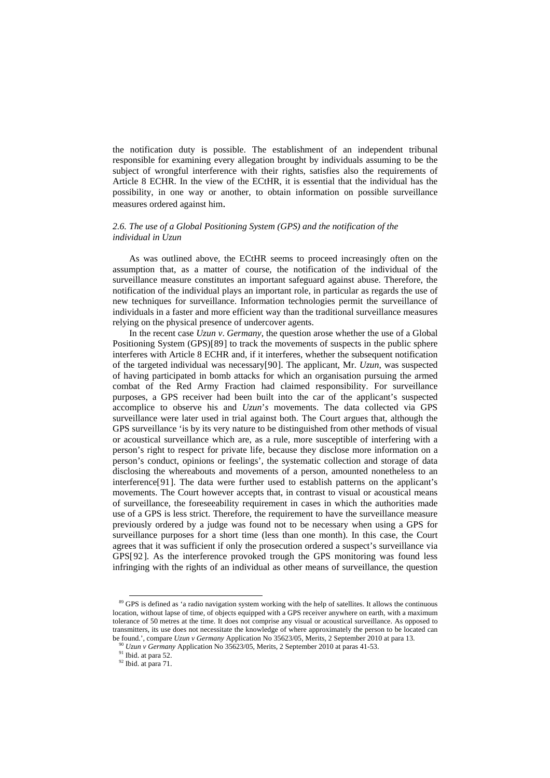the notification duty is possible. The establishment of an independent tribunal responsible for examining every allegation brought by individuals assuming to be the subject of wrongful interference with their rights, satisfies also the requirements of Article 8 ECHR. In the view of the ECtHR, it is essential that the individual has the possibility, in one way or another, to obtain information on possible surveillance measures ordered against him.

# *2.6. The use of a Global Positioning System (GPS) and the notification of the individual in Uzun*

As was outlined above, the ECtHR seems to proceed increasingly often on the assumption that, as a matter of course, the notification of the individual of the surveillance measure constitutes an important safeguard against abuse. Therefore, the notification of the individual plays an important role, in particular as regards the use of new techniques for surveillance. Information technologies permit the surveillance of individuals in a faster and more efficient way than the traditional surveillance measures relying on the physical presence of undercover agents.

In the recent case *Uzun v*. *Germany*, the question arose whether the use of a Global Positioning System (GPS)[[89](#page-15-0)] to track the movements of suspects in the public sphere interferes with Article 8 ECHR and, if it interferes, whether the subsequent notification of the targeted individual was necessary[[90](#page-15-1)]. The applicant, Mr. *Uzun*, was suspected of having participated in bomb attacks for which an organisation pursuing the armed combat of the Red Army Fraction had claimed responsibility. For surveillance purposes, a GPS receiver had been built into the car of the applicant's suspected accomplice to observe his and *Uzun*'*s* movements. The data collected via GPS surveillance were later used in trial against both. The Court argues that, although the GPS surveillance 'is by its very nature to be distinguished from other methods of visual or acoustical surveillance which are, as a rule, more susceptible of interfering with a person's right to respect for private life, because they disclose more information on a person's conduct, opinions or feelings', the systematic collection and storage of data disclosing the whereabouts and movements of a person, amounted nonetheless to an interference[[91](#page-15-2)]. The data were further used to establish patterns on the applicant's movements. The Court however accepts that, in contrast to visual or acoustical means of surveillance, the foreseeability requirement in cases in which the authorities made use of a GPS is less strict. Therefore, the requirement to have the surveillance measure previously ordered by a judge was found not to be necessary when using a GPS for surveillance purposes for a short time (less than one month). In this case, the Court agrees that it was sufficient if only the prosecution ordered a suspect's surveillance via GPS[[92](#page-15-3)]. As the interference provoked trough the GPS monitoring was found less infringing with the rights of an individual as other means of surveillance, the question

<span id="page-15-0"></span><sup>&</sup>lt;sup>89</sup> GPS is defined as 'a radio navigation system working with the help of satellites. It allows the continuous location, without lapse of time, of objects equipped with a GPS receiver anywhere on earth, with a maximum tolerance of 50 metres at the time. It does not comprise any visual or acoustical surveillance. As opposed to transmitters, its use does not necessitate the knowledge of where approximately the person to be located can be found.', compare  $Uzun$  v Germany Application No 35623/05, Merits, 2 September 2010 at para 13.<br><sup>90</sup>  $Uzun$  v Germany Application No 35623/05, Merits, 2 September 2010 at paras 41-53.<br><sup>91</sup> Ibid. at para 52.<br><sup>92</sup> Ibid. at

<span id="page-15-1"></span>

<span id="page-15-3"></span><span id="page-15-2"></span>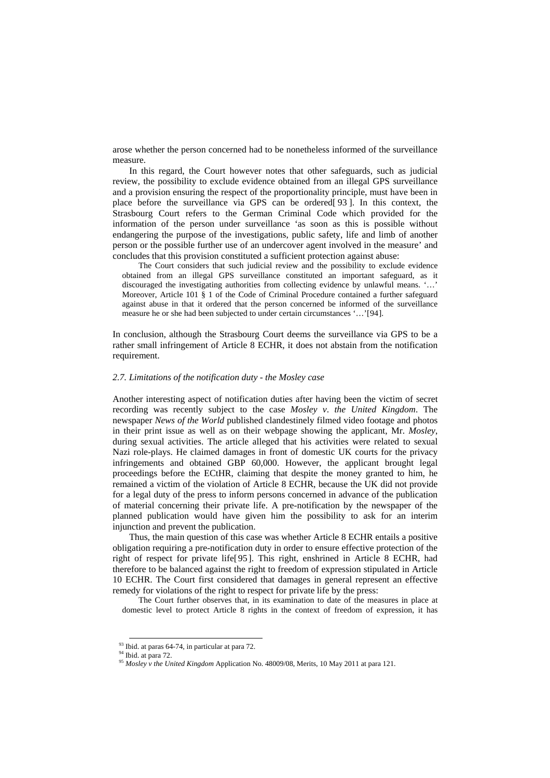arose whether the person concerned had to be nonetheless informed of the surveillance measure.

In this regard, the Court however notes that other safeguards, such as judicial review, the possibility to exclude evidence obtained from an illegal GPS surveillance and a provision ensuring the respect of the proportionality principle, must have been in place before the surveillance via GPS can be ordered[ [93](#page-16-0) ]. In this context, the Strasbourg Court refers to the German Criminal Code which provided for the information of the person under surveillance 'as soon as this is possible without endangering the purpose of the investigations, public safety, life and limb of another person or the possible further use of an undercover agent involved in the measure' and concludes that this provision constituted a sufficient protection against abuse:

The Court considers that such judicial review and the possibility to exclude evidence obtained from an illegal GPS surveillance constituted an important safeguard, as it discouraged the investigating authorities from collecting evidence by unlawful means. '…' Moreover, Article 101 § 1 of the Code of Criminal Procedure contained a further safeguard against abuse in that it ordered that the person concerned be informed of the surveillance measure he or she had been subjected to under certain circumstances '…'[[94](#page-16-1)].

In conclusion, although the Strasbourg Court deems the surveillance via GPS to be a rather small infringement of Article 8 ECHR, it does not abstain from the notification requirement.

## *2.7. Limitations of the notification duty - the Mosley case*

Another interesting aspect of notification duties after having been the victim of secret recording was recently subject to the case *Mosley v*. *the United Kingdom*. The newspaper *News of the World* published clandestinely filmed video footage and photos in their print issue as well as on their webpage showing the applicant, Mr. *Mosley*, during sexual activities. The article alleged that his activities were related to sexual Nazi role-plays. He claimed damages in front of domestic UK courts for the privacy infringements and obtained GBP 60,000. However, the applicant brought legal proceedings before the ECtHR, claiming that despite the money granted to him, he remained a victim of the violation of Article 8 ECHR, because the UK did not provide for a legal duty of the press to inform persons concerned in advance of the publication of material concerning their private life. A pre-notification by the newspaper of the planned publication would have given him the possibility to ask for an interim injunction and prevent the publication.

Thus, the main question of this case was whether Article 8 ECHR entails a positive obligation requiring a pre-notification duty in order to ensure effective protection of the right of respect for private life[[95](#page-16-2)]. This right, enshrined in Article 8 ECHR, had therefore to be balanced against the right to freedom of expression stipulated in Article 10 ECHR. The Court first considered that damages in general represent an effective remedy for violations of the right to respect for private life by the press:

The Court further observes that, in its examination to date of the measures in place at domestic level to protect Article 8 rights in the context of freedom of expression, it has

<span id="page-16-2"></span>

<span id="page-16-1"></span><span id="page-16-0"></span><sup>&</sup>lt;sup>93</sup> Ibid. at paras 64-74, in particular at para 72.<br><sup>94</sup> Ibid. at para 72.<br><sup>95</sup> *Mosley v the United Kingdom* Application No. 48009/08, Merits, 10 May 2011 at para 121.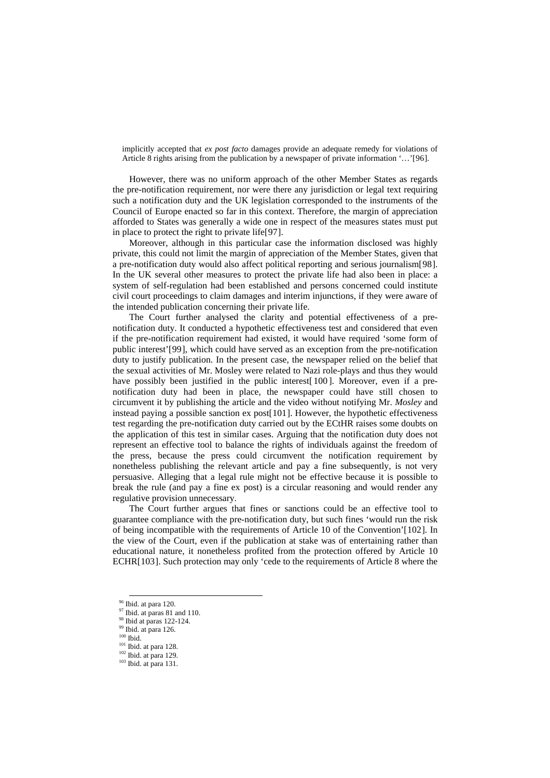implicitly accepted that *ex post facto* damages provide an adequate remedy for violations of Article 8 rights arising from the publication by a newspaper of private information '…'[[96](#page-17-0)].

However, there was no uniform approach of the other Member States as regards the pre-notification requirement, nor were there any jurisdiction or legal text requiring such a notification duty and the UK legislation corresponded to the instruments of the Council of Europe enacted so far in this context. Therefore, the margin of appreciation afforded to States was generally a wide one in respect of the measures states must put in place to protect the right to private life[[97](#page-17-1)].

Moreover, although in this particular case the information disclosed was highly private, this could not limit the margin of appreciation of the Member States, given that a pre-notification duty would also affect political reporting and serious journalism[[98](#page-17-2)]. In the UK several other measures to protect the private life had also been in place: a system of self-regulation had been established and persons concerned could institute civil court proceedings to claim damages and interim injunctions, if they were aware of the intended publication concerning their private life.

The Court further analysed the clarity and potential effectiveness of a prenotification duty. It conducted a hypothetic effectiveness test and considered that even if the pre-notification requirement had existed, it would have required 'some form of public interest'[[99](#page-17-3)], which could have served as an exception from the pre-notification duty to justify publication. In the present case, the newspaper relied on the belief that the sexual activities of Mr. Mosley were related to Nazi role-plays and thus they would have possibly been justified in the public interest [[100](#page-17-4)]. Moreover, even if a prenotification duty had been in place, the newspaper could have still chosen to circumvent it by publishing the article and the video without notifying Mr. *Mosley* and instead paying a possible sanction ex post[[101](#page-17-5)]. However, the hypothetic effectiveness test regarding the pre-notification duty carried out by the ECtHR raises some doubts on the application of this test in similar cases. Arguing that the notification duty does not represent an effective tool to balance the rights of individuals against the freedom of the press, because the press could circumvent the notification requirement by nonetheless publishing the relevant article and pay a fine subsequently, is not very persuasive. Alleging that a legal rule might not be effective because it is possible to break the rule (and pay a fine ex post) is a circular reasoning and would render any regulative provision unnecessary.

The Court further argues that fines or sanctions could be an effective tool to guarantee compliance with the pre-notification duty, but such fines 'would run the risk of being incompatible with the requirements of Article 10 of the Convention'[[102](#page-17-6)]. In the view of the Court, even if the publication at stake was of entertaining rather than educational nature, it nonetheless profited from the protection offered by Article 10 ECHR[[103](#page-17-7)]. Such protection may only 'cede to the requirements of Article 8 where the

<span id="page-17-1"></span><span id="page-17-0"></span><sup>&</sup>lt;sup>96</sup> Ibid. at paras 81 and 110.<br><sup>97</sup> Ibid. at paras 81 and 110.<br><sup>98</sup> Ibid. at para 126.<br><sup>99</sup> Ibid. at para 126.<br><sup>100</sup> Ibid. at para 128.

<span id="page-17-4"></span><span id="page-17-3"></span><span id="page-17-2"></span>

<span id="page-17-5"></span>

<span id="page-17-7"></span><span id="page-17-6"></span> $\frac{102}{103}$  Ibid. at para 129.<br>
103 Ibid. at para 131.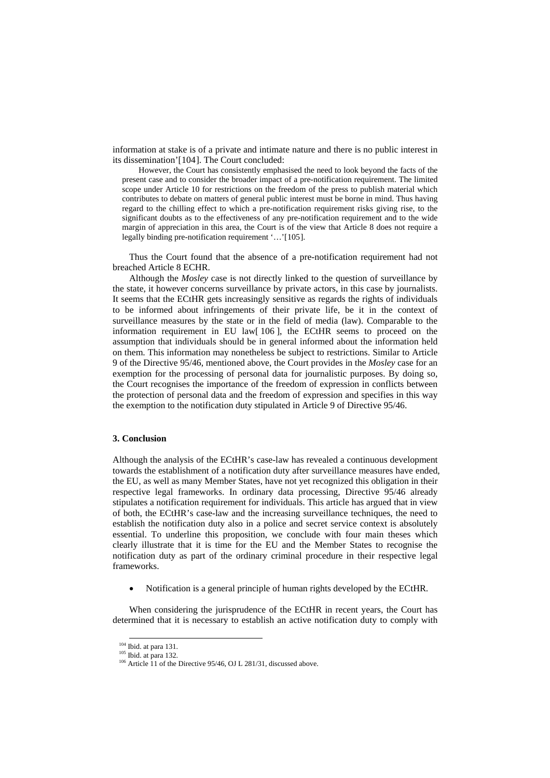information at stake is of a private and intimate nature and there is no public interest in its dissemination'[[104](#page-18-0)]. The Court concluded:

However, the Court has consistently emphasised the need to look beyond the facts of the present case and to consider the broader impact of a pre-notification requirement. The limited scope under Article 10 for restrictions on the freedom of the press to publish material which contributes to debate on matters of general public interest must be borne in mind. Thus having regard to the chilling effect to which a pre-notification requirement risks giving rise, to the significant doubts as to the effectiveness of any pre-notification requirement and to the wide margin of appreciation in this area, the Court is of the view that Article 8 does not require a legally binding pre-notification requirement '…'[[105](#page-18-1)].

Thus the Court found that the absence of a pre-notification requirement had not breached Article 8 ECHR.

Although the *Mosley* case is not directly linked to the question of surveillance by the state, it however concerns surveillance by private actors, in this case by journalists. It seems that the ECtHR gets increasingly sensitive as regards the rights of individuals to be informed about infringements of their private life, be it in the context of surveillance measures by the state or in the field of media (law). Comparable to the information requirement in EU law[ [106](#page-18-2) ], the ECtHR seems to proceed on the assumption that individuals should be in general informed about the information held on them. This information may nonetheless be subject to restrictions. Similar to Article 9 of the Directive 95/46, mentioned above, the Court provides in the *Mosley* case for an exemption for the processing of personal data for journalistic purposes. By doing so, the Court recognises the importance of the freedom of expression in conflicts between the protection of personal data and the freedom of expression and specifies in this way the exemption to the notification duty stipulated in Article 9 of Directive 95/46.

## **3. Conclusion**

Although the analysis of the ECtHR's case-law has revealed a continuous development towards the establishment of a notification duty after surveillance measures have ended, the EU, as well as many Member States, have not yet recognized this obligation in their respective legal frameworks. In ordinary data processing, Directive 95/46 already stipulates a notification requirement for individuals. This article has argued that in view of both, the ECtHR's case-law and the increasing surveillance techniques, the need to establish the notification duty also in a police and secret service context is absolutely essential. To underline this proposition, we conclude with four main theses which clearly illustrate that it is time for the EU and the Member States to recognise the notification duty as part of the ordinary criminal procedure in their respective legal frameworks.

• Notification is a general principle of human rights developed by the ECtHR.

<span id="page-18-0"></span>When considering the jurisprudence of the ECtHR in recent years, the Court has determined that it is necessary to establish an active notification duty to comply with

<span id="page-18-2"></span>

<span id="page-18-1"></span><sup>&</sup>lt;sup>104</sup> Ibid. at para 131.<br><sup>105</sup> Ibid. at para 132.<br><sup>106</sup> Article 11 of the Directive 95/46, OJ L 281/31, discussed above.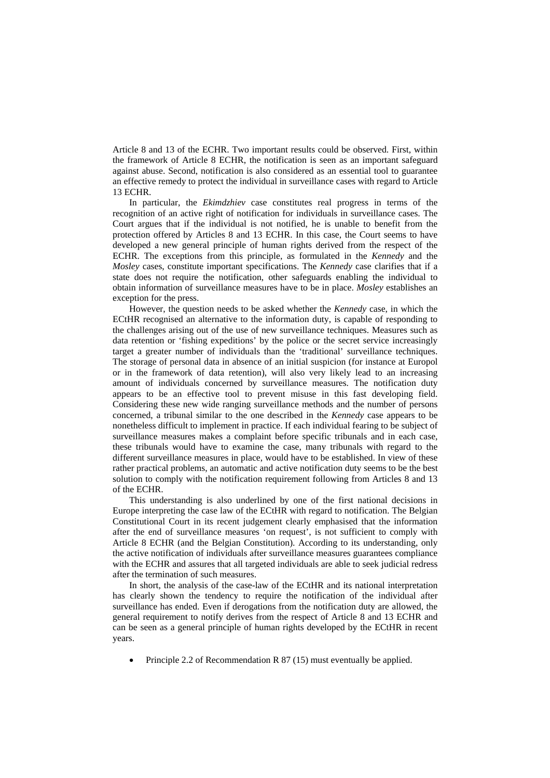Article 8 and 13 of the ECHR. Two important results could be observed. First, within the framework of Article 8 ECHR, the notification is seen as an important safeguard against abuse. Second, notification is also considered as an essential tool to guarantee an effective remedy to protect the individual in surveillance cases with regard to Article 13 ECHR.

In particular, the *Ekimdzhiev* case constitutes real progress in terms of the recognition of an active right of notification for individuals in surveillance cases. The Court argues that if the individual is not notified, he is unable to benefit from the protection offered by Articles 8 and 13 ECHR. In this case, the Court seems to have developed a new general principle of human rights derived from the respect of the ECHR. The exceptions from this principle, as formulated in the *Kennedy* and the *Mosley* cases, constitute important specifications. The *Kennedy* case clarifies that if a state does not require the notification, other safeguards enabling the individual to obtain information of surveillance measures have to be in place. *Mosley* establishes an exception for the press.

However, the question needs to be asked whether the *Kennedy* case, in which the ECtHR recognised an alternative to the information duty, is capable of responding to the challenges arising out of the use of new surveillance techniques. Measures such as data retention or 'fishing expeditions' by the police or the secret service increasingly target a greater number of individuals than the 'traditional' surveillance techniques. The storage of personal data in absence of an initial suspicion (for instance at Europol or in the framework of data retention), will also very likely lead to an increasing amount of individuals concerned by surveillance measures. The notification duty appears to be an effective tool to prevent misuse in this fast developing field. Considering these new wide ranging surveillance methods and the number of persons concerned, a tribunal similar to the one described in the *Kennedy* case appears to be nonetheless difficult to implement in practice. If each individual fearing to be subject of surveillance measures makes a complaint before specific tribunals and in each case, these tribunals would have to examine the case, many tribunals with regard to the different surveillance measures in place, would have to be established. In view of these rather practical problems, an automatic and active notification duty seems to be the best solution to comply with the notification requirement following from Articles 8 and 13 of the ECHR.

This understanding is also underlined by one of the first national decisions in Europe interpreting the case law of the ECtHR with regard to notification. The Belgian Constitutional Court in its recent judgement clearly emphasised that the information after the end of surveillance measures 'on request', is not sufficient to comply with Article 8 ECHR (and the Belgian Constitution). According to its understanding, only the active notification of individuals after surveillance measures guarantees compliance with the ECHR and assures that all targeted individuals are able to seek judicial redress after the termination of such measures.

In short, the analysis of the case-law of the ECtHR and its national interpretation has clearly shown the tendency to require the notification of the individual after surveillance has ended. Even if derogations from the notification duty are allowed, the general requirement to notify derives from the respect of Article 8 and 13 ECHR and can be seen as a general principle of human rights developed by the ECtHR in recent years.

• Principle 2.2 of Recommendation R 87 (15) must eventually be applied.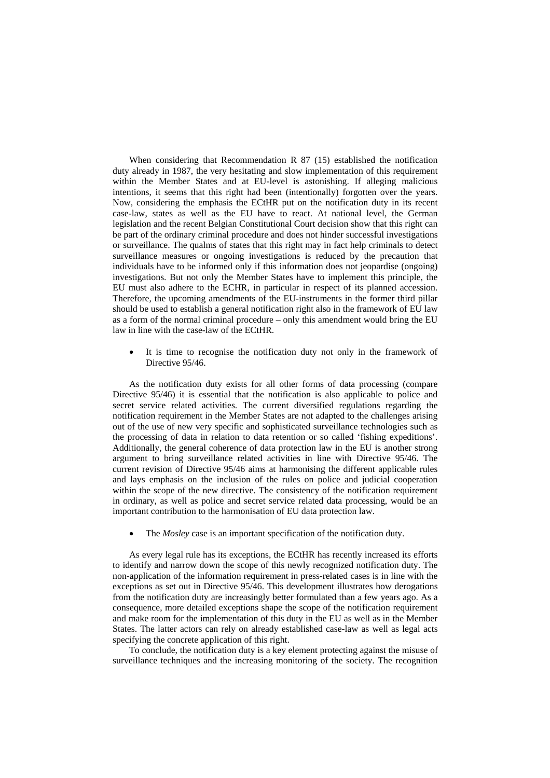When considering that Recommendation R 87 (15) established the notification duty already in 1987, the very hesitating and slow implementation of this requirement within the Member States and at EU-level is astonishing. If alleging malicious intentions, it seems that this right had been (intentionally) forgotten over the years. Now, considering the emphasis the ECtHR put on the notification duty in its recent case-law, states as well as the EU have to react. At national level, the German legislation and the recent Belgian Constitutional Court decision show that this right can be part of the ordinary criminal procedure and does not hinder successful investigations or surveillance. The qualms of states that this right may in fact help criminals to detect surveillance measures or ongoing investigations is reduced by the precaution that individuals have to be informed only if this information does not jeopardise (ongoing) investigations. But not only the Member States have to implement this principle, the EU must also adhere to the ECHR, in particular in respect of its planned accession. Therefore, the upcoming amendments of the EU-instruments in the former third pillar should be used to establish a general notification right also in the framework of EU law as a form of the normal criminal procedure – only this amendment would bring the EU law in line with the case-law of the ECtHR.

It is time to recognise the notification duty not only in the framework of Directive 95/46.

As the notification duty exists for all other forms of data processing (compare Directive 95/46) it is essential that the notification is also applicable to police and secret service related activities. The current diversified regulations regarding the notification requirement in the Member States are not adapted to the challenges arising out of the use of new very specific and sophisticated surveillance technologies such as the processing of data in relation to data retention or so called 'fishing expeditions'. Additionally, the general coherence of data protection law in the EU is another strong argument to bring surveillance related activities in line with Directive 95/46. The current revision of Directive 95/46 aims at harmonising the different applicable rules and lays emphasis on the inclusion of the rules on police and judicial cooperation within the scope of the new directive. The consistency of the notification requirement in ordinary, as well as police and secret service related data processing, would be an important contribution to the harmonisation of EU data protection law.

The *Mosley* case is an important specification of the notification duty.

As every legal rule has its exceptions, the ECtHR has recently increased its efforts to identify and narrow down the scope of this newly recognized notification duty. The non-application of the information requirement in press-related cases is in line with the exceptions as set out in Directive 95/46. This development illustrates how derogations from the notification duty are increasingly better formulated than a few years ago. As a consequence, more detailed exceptions shape the scope of the notification requirement and make room for the implementation of this duty in the EU as well as in the Member States. The latter actors can rely on already established case-law as well as legal acts specifying the concrete application of this right.

To conclude, the notification duty is a key element protecting against the misuse of surveillance techniques and the increasing monitoring of the society. The recognition